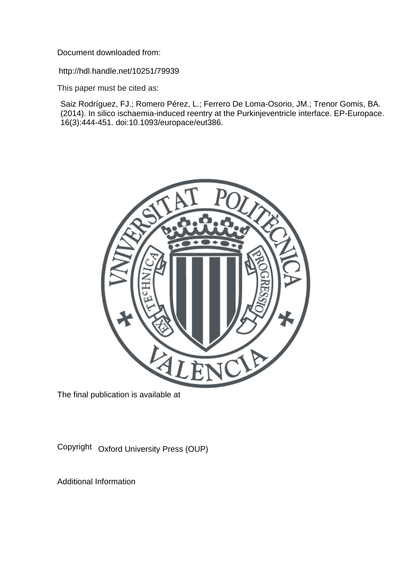Document downloaded from:

http://hdl.handle.net/10251/79939

This paper must be cited as:

Saiz Rodríguez, FJ.; Romero Pérez, L.; Ferrero De Loma-Osorio, JM.; Trenor Gomis, BA. (2014). In silico ischaemia-induced reentry at the Purkinjeventricle interface. EP-Europace. 16(3):444-451. doi:10.1093/europace/eut386.



The final publication is available at

Copyright Oxford University Press (OUP)

Additional Information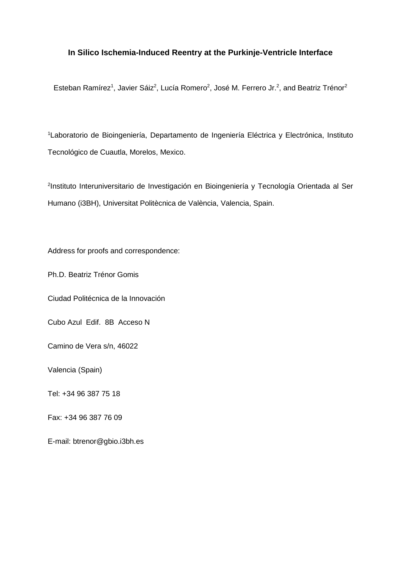# **In Silico Ischemia-Induced Reentry at the Purkinje-Ventricle Interface**

Esteban Ramírez<sup>1</sup>, Javier Sáiz<sup>2</sup>, Lucía Romero<sup>2</sup>, José M. Ferrero Jr.<sup>2</sup>, and Beatriz Trénor<sup>2</sup>

1 Laboratorio de Bioingeniería, Departamento de Ingeniería Eléctrica y Electrónica, Instituto Tecnológico de Cuautla, Morelos, Mexico.

2 Instituto Interuniversitario de Investigación en Bioingeniería y Tecnología Orientada al Ser Humano (i3BH), Universitat Politècnica de València, Valencia, Spain.

Address for proofs and correspondence:

Ph.D. Beatriz Trénor Gomis

Ciudad Politécnica de la Innovación

Cubo Azul Edif. 8B Acceso N

Camino de Vera s/n, 46022

Valencia (Spain)

Tel: +34 96 387 75 18

Fax: +34 96 387 76 09

E-mail: btrenor@gbio.i3bh.es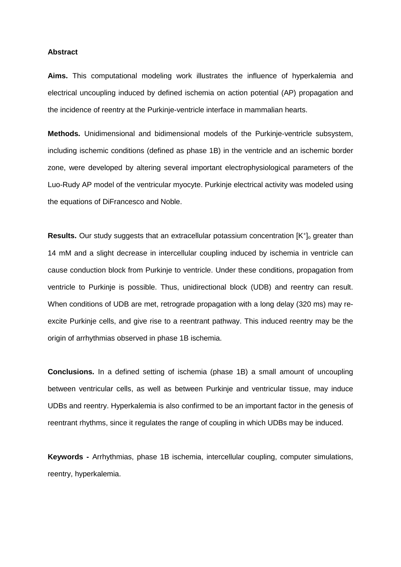## **Abstract**

**Aims.** This computational modeling work illustrates the influence of hyperkalemia and electrical uncoupling induced by defined ischemia on action potential (AP) propagation and the incidence of reentry at the Purkinje-ventricle interface in mammalian hearts.

**Methods.** Unidimensional and bidimensional models of the Purkinje-ventricle subsystem, including ischemic conditions (defined as phase 1B) in the ventricle and an ischemic border zone, were developed by altering several important electrophysiological parameters of the Luo-Rudy AP model of the ventricular myocyte. Purkinje electrical activity was modeled using the equations of DiFrancesco and Noble.

**Results.** Our study suggests that an extracellular potassium concentration [K<sup>+</sup>]<sub>o</sub> greater than 14 mM and a slight decrease in intercellular coupling induced by ischemia in ventricle can cause conduction block from Purkinje to ventricle. Under these conditions, propagation from ventricle to Purkinje is possible. Thus, unidirectional block (UDB) and reentry can result. When conditions of UDB are met, retrograde propagation with a long delay (320 ms) may reexcite Purkinje cells, and give rise to a reentrant pathway. This induced reentry may be the origin of arrhythmias observed in phase 1B ischemia.

**Conclusions.** In a defined setting of ischemia (phase 1B) a small amount of uncoupling between ventricular cells, as well as between Purkinje and ventricular tissue, may induce UDBs and reentry. Hyperkalemia is also confirmed to be an important factor in the genesis of reentrant rhythms, since it regulates the range of coupling in which UDBs may be induced.

**Keywords -** Arrhythmias, phase 1B ischemia, intercellular coupling, computer simulations, reentry, hyperkalemia.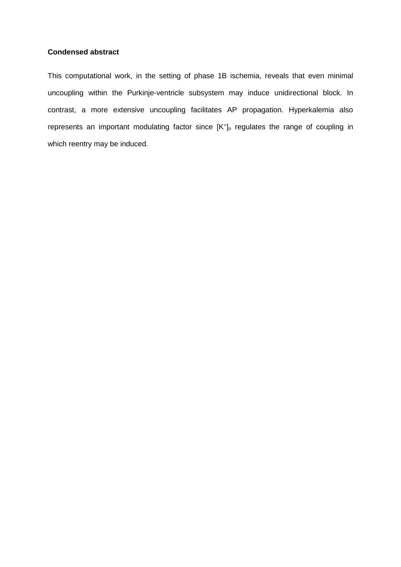## **Condensed abstract**

This computational work, in the setting of phase 1B ischemia, reveals that even minimal uncoupling within the Purkinje-ventricle subsystem may induce unidirectional block. In contrast, a more extensive uncoupling facilitates AP propagation. Hyperkalemia also represents an important modulating factor since [K<sup>+</sup>]<sub>o</sub> regulates the range of coupling in which reentry may be induced.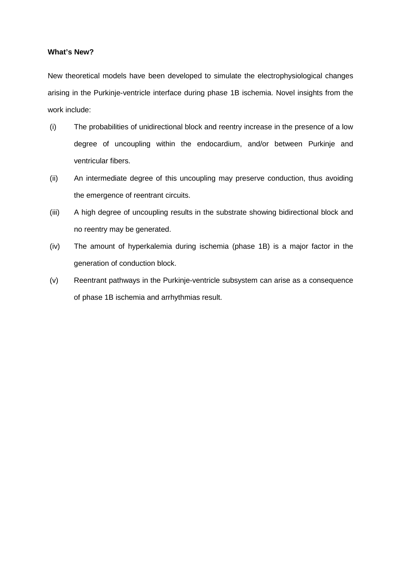## **What's New?**

New theoretical models have been developed to simulate the electrophysiological changes arising in the Purkinje-ventricle interface during phase 1B ischemia. Novel insights from the work include:

- (i) The probabilities of unidirectional block and reentry increase in the presence of a low degree of uncoupling within the endocardium, and/or between Purkinje and ventricular fibers.
- (ii) An intermediate degree of this uncoupling may preserve conduction, thus avoiding the emergence of reentrant circuits.
- (iii) A high degree of uncoupling results in the substrate showing bidirectional block and no reentry may be generated.
- (iv) The amount of hyperkalemia during ischemia (phase 1B) is a major factor in the generation of conduction block.
- (v) Reentrant pathways in the Purkinje-ventricle subsystem can arise as a consequence of phase 1B ischemia and arrhythmias result.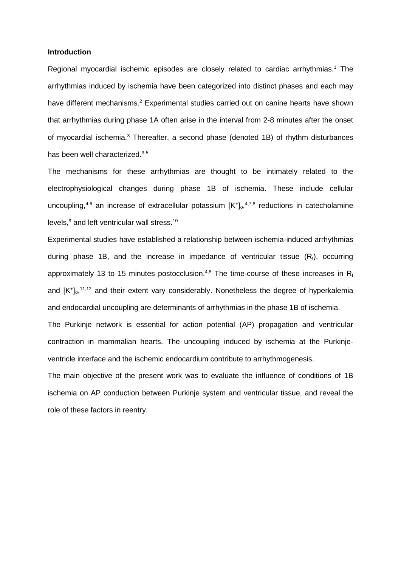### **Introduction**

Regional myocardial ischemic episodes are closely related to cardiac arrhythmias. <sup>1</sup> The arrhythmias induced by ischemia have been categorized into distinct phases and each may have different mechanisms.<sup>2</sup> Experimental studies carried out on canine hearts have shown that arrhythmias during phase 1A often arise in the interval from 2-8 minutes after the onset of myocardial ischemia. <sup>3</sup> Thereafter, a second phase (denoted 1B) of rhythm disturbances has been well characterized. 3-5

The mechanisms for these arrhythmias are thought to be intimately related to the electrophysiological changes during phase 1B of ischemia. These include cellular uncoupling,<sup>4,6</sup> an increase of extracellular potassium  $[K^+]$ <sub>0</sub>,<sup>4,7,8</sup> reductions in catecholamine levels,<sup>9</sup> and left ventricular wall stress.<sup>10</sup>

Experimental studies have established a relationship between ischemia-induced arrhythmias during phase 1B, and the increase in impedance of ventricular tissue  $(R_t)$ , occurring approximately 13 to 15 minutes postocclusion.<sup>4,8</sup> The time-course of these increases in R<sub>1</sub> and [K<sup>+</sup>]<sub>o</sub>,<sup>11,12</sup> and their extent vary considerably. Nonetheless the degree of hyperkalemia and endocardial uncoupling are determinants of arrhythmias in the phase 1B of ischemia.

The Purkinje network is essential for action potential (AP) propagation and ventricular contraction in mammalian hearts. The uncoupling induced by ischemia at the Purkinjeventricle interface and the ischemic endocardium contribute to arrhythmogenesis.

The main objective of the present work was to evaluate the influence of conditions of 1B ischemia on AP conduction between Purkinje system and ventricular tissue, and reveal the role of these factors in reentry.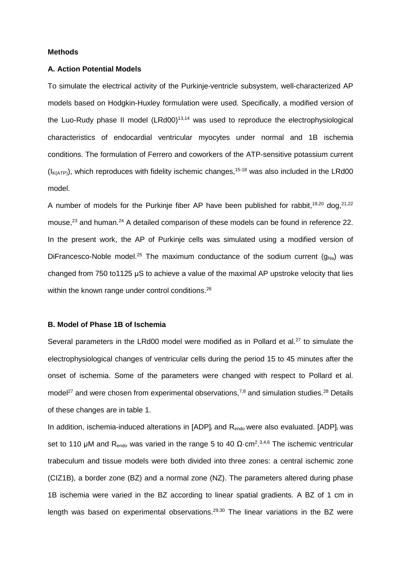## **Methods**

## **A. Action Potential Models**

To simulate the electrical activity of the Purkinje-ventricle subsystem, well-characterized AP models based on Hodgkin-Huxley formulation were used. Specifically, a modified version of the Luo-Rudy phase II model  $(LRd00)^{13,14}$  was used to reproduce the electrophysiological characteristics of endocardial ventricular myocytes under normal and 1B ischemia conditions. The formulation of Ferrero and coworkers of the ATP-sensitive potassium current  $(I_{K(ATP)})$ , which reproduces with fidelity ischemic changes,<sup>15-18</sup> was also included in the LRd00 model.

A number of models for the Purkinje fiber AP have been published for rabbit,  $19,20$  dog,  $21,22$ mouse,<sup>23</sup> and human.<sup>24</sup> A detailed comparison of these models can be found in reference 22. In the present work, the AP of Purkinje cells was simulated using a modified version of DiFrancesco-Noble model.<sup>25</sup> The maximum conductance of the sodium current  $(g_{Na})$  was changed from 750 to1125 μS to achieve a value of the maximal AP upstroke velocity that lies within the known range under control conditions.<sup>26</sup>

## **B. Model of Phase 1B of Ischemia**

Several parameters in the LRd00 model were modified as in Pollard et al.<sup>27</sup> to simulate the electrophysiological changes of ventricular cells during the period 15 to 45 minutes after the onset of ischemia. Some of the parameters were changed with respect to Pollard et al. model<sup>27</sup> and were chosen from experimental observations,<sup>7,8</sup> and simulation studies.<sup>28</sup> Details of these changes are in table 1.

In addition, ischemia-induced alterations in  $[ADP]$  and  $R_{\text{endo}}$  were also evaluated.  $[ADP]$  was set to 110 μM and R<sub>endo</sub> was varied in the range 5 to 40 Ω·cm<sup>2</sup>.<sup>3,4,6</sup> The ischemic ventricular trabeculum and tissue models were both divided into three zones: a central ischemic zone (CIZ1B), a border zone (BZ) and a normal zone (NZ). The parameters altered during phase 1B ischemia were varied in the BZ according to linear spatial gradients. A BZ of 1 cm in length was based on experimental observations.<sup>29,30</sup> The linear variations in the BZ were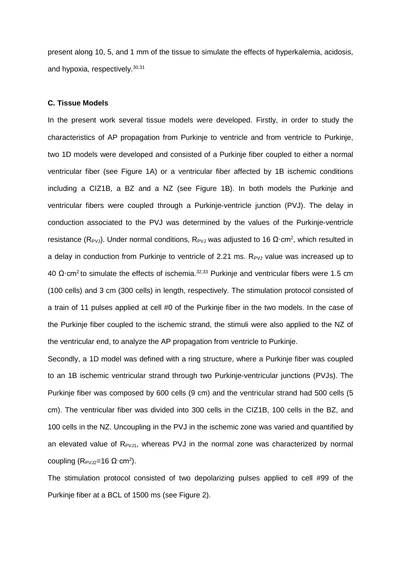present along 10, 5, and 1 mm of the tissue to simulate the effects of hyperkalemia, acidosis, and hypoxia, respectively. 30,31

## **C. Tissue Models**

In the present work several tissue models were developed. Firstly, in order to study the characteristics of AP propagation from Purkinje to ventricle and from ventricle to Purkinje, two 1D models were developed and consisted of a Purkinje fiber coupled to either a normal ventricular fiber (see Figure 1A) or a ventricular fiber affected by 1B ischemic conditions including a CIZ1B, a BZ and a NZ (see Figure 1B). In both models the Purkinje and ventricular fibers were coupled through a Purkinje-ventricle junction (PVJ). The delay in conduction associated to the PVJ was determined by the values of the Purkinje-ventricle resistance (R<sub>PVJ</sub>). Under normal conditions, R<sub>PVJ</sub> was adjusted to 16  $\Omega$ ·cm<sup>2</sup>, which resulted in a delay in conduction from Purkinje to ventricle of 2.21 ms. R<sub>PVJ</sub> value was increased up to 40 Ω·cm<sup>2</sup> to simulate the effects of ischemia.<sup>32,33</sup> Purkinje and ventricular fibers were 1.5 cm (100 cells) and 3 cm (300 cells) in length, respectively. The stimulation protocol consisted of a train of 11 pulses applied at cell #0 of the Purkinje fiber in the two models. In the case of the Purkinje fiber coupled to the ischemic strand, the stimuli were also applied to the NZ of the ventricular end, to analyze the AP propagation from ventricle to Purkinje.

Secondly, a 1D model was defined with a ring structure, where a Purkinje fiber was coupled to an 1B ischemic ventricular strand through two Purkinje-ventricular junctions (PVJs). The Purkinje fiber was composed by 600 cells (9 cm) and the ventricular strand had 500 cells (5 cm). The ventricular fiber was divided into 300 cells in the CIZ1B, 100 cells in the BZ, and 100 cells in the NZ. Uncoupling in the PVJ in the ischemic zone was varied and quantified by an elevated value of  $R_{PVJ1}$ , whereas PVJ in the normal zone was characterized by normal coupling ( $R_{PVJ2}$ =16 Ω·cm<sup>2</sup>).

The stimulation protocol consisted of two depolarizing pulses applied to cell #99 of the Purkinje fiber at a BCL of 1500 ms (see Figure 2).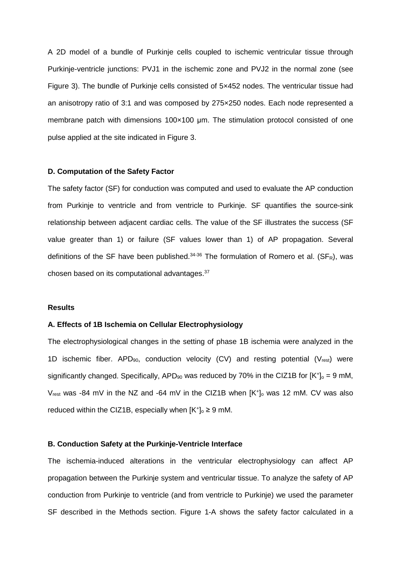A 2D model of a bundle of Purkinje cells coupled to ischemic ventricular tissue through Purkinje-ventricle junctions: PVJ1 in the ischemic zone and PVJ2 in the normal zone (see Figure 3). The bundle of Purkinje cells consisted of 5×452 nodes. The ventricular tissue had an anisotropy ratio of 3:1 and was composed by 275×250 nodes. Each node represented a membrane patch with dimensions 100×100 μm. The stimulation protocol consisted of one pulse applied at the site indicated in Figure 3.

### **D. Computation of the Safety Factor**

The safety factor (SF) for conduction was computed and used to evaluate the AP conduction from Purkinje to ventricle and from ventricle to Purkinje. SF quantifies the source-sink relationship between adjacent cardiac cells. The value of the SF illustrates the success (SF value greater than 1) or failure (SF values lower than 1) of AP propagation. Several definitions of the SF have been published.<sup>34-36</sup> The formulation of Romero et al. (SF<sub>R</sub>), was chosen based on its computational advantages.37

## **Results**

#### **A. Effects of 1B Ischemia on Cellular Electrophysiology**

The electrophysiological changes in the setting of phase 1B ischemia were analyzed in the 1D ischemic fiber. APD<sub>90</sub>, conduction velocity (CV) and resting potential ( $V_{rest}$ ) were significantly changed. Specifically, APD<sub>90</sub> was reduced by 70% in the CIZ1B for  $[K^+]_0 = 9$  mM,  $V_{rest}$  was -84 mV in the NZ and -64 mV in the CIZ1B when  $[K^+]_0$  was 12 mM. CV was also reduced within the CIZ1B, especially when  $[K^+]_0 \ge 9$  mM.

#### **B. Conduction Safety at the Purkinje-Ventricle Interface**

The ischemia-induced alterations in the ventricular electrophysiology can affect AP propagation between the Purkinje system and ventricular tissue. To analyze the safety of AP conduction from Purkinje to ventricle (and from ventricle to Purkinje) we used the parameter SF described in the Methods section. Figure 1-A shows the safety factor calculated in a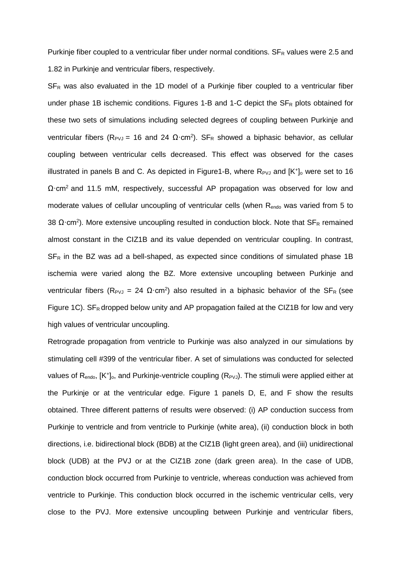Purkinje fiber coupled to a ventricular fiber under normal conditions.  $SF_R$  values were 2.5 and 1.82 in Purkinje and ventricular fibers, respectively.

 $SF<sub>R</sub>$  was also evaluated in the 1D model of a Purkinje fiber coupled to a ventricular fiber under phase 1B ischemic conditions. Figures 1-B and 1-C depict the  $SF<sub>R</sub>$  plots obtained for these two sets of simulations including selected degrees of coupling between Purkinje and ventricular fibers (R<sub>PVJ</sub> = 16 and 24 Ω·cm<sup>2</sup>). SF<sub>R</sub> showed a biphasic behavior, as cellular coupling between ventricular cells decreased. This effect was observed for the cases illustrated in panels B and C. As depicted in Figure1-B, where  $R_{PVJ}$  and  $[K^+]_0$  were set to 16 Ω·cm<sup>2</sup> and 11.5 mM, respectively, successful AP propagation was observed for low and moderate values of cellular uncoupling of ventricular cells (when R<sub>endo</sub> was varied from 5 to 38  $\Omega$ ·cm<sup>2</sup>). More extensive uncoupling resulted in conduction block. Note that SF<sub>R</sub> remained almost constant in the CIZ1B and its value depended on ventricular coupling. In contrast,  $SF<sub>R</sub>$  in the BZ was ad a bell-shaped, as expected since conditions of simulated phase 1B ischemia were varied along the BZ. More extensive uncoupling between Purkinje and ventricular fibers (R<sub>PVJ</sub> = 24 Ω·cm<sup>2</sup>) also resulted in a biphasic behavior of the SF<sub>R</sub> (see Figure 1C).  $SF_R$  dropped below unity and AP propagation failed at the CIZ1B for low and very high values of ventricular uncoupling.

Retrograde propagation from ventricle to Purkinje was also analyzed in our simulations by stimulating cell #399 of the ventricular fiber. A set of simulations was conducted for selected values of  $R_{endo}$ ,  $[K^+]_0$ , and Purkinje-ventricle coupling  $(R_{PVJ})$ . The stimuli were applied either at the Purkinje or at the ventricular edge. Figure 1 panels D, E, and F show the results obtained. Three different patterns of results were observed: (i) AP conduction success from Purkinje to ventricle and from ventricle to Purkinje (white area), (ii) conduction block in both directions, i.e. bidirectional block (BDB) at the CIZ1B (light green area), and (iii) unidirectional block (UDB) at the PVJ or at the CIZ1B zone (dark green area). In the case of UDB, conduction block occurred from Purkinje to ventricle, whereas conduction was achieved from ventricle to Purkinje. This conduction block occurred in the ischemic ventricular cells, very close to the PVJ. More extensive uncoupling between Purkinje and ventricular fibers,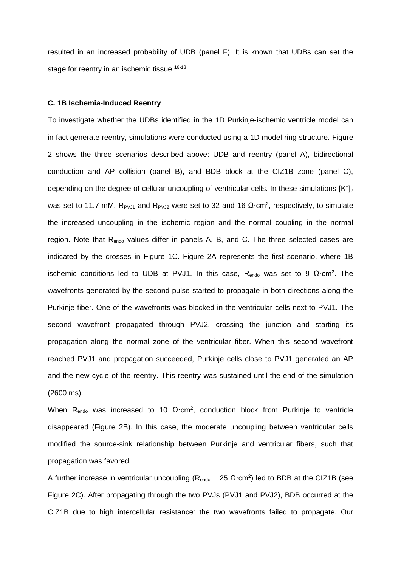resulted in an increased probability of UDB (panel F). It is known that UDBs can set the stage for reentry in an ischemic tissue. 16-18

## **C. 1B Ischemia-Induced Reentry**

To investigate whether the UDBs identified in the 1D Purkinje-ischemic ventricle model can in fact generate reentry, simulations were conducted using a 1D model ring structure. Figure 2 shows the three scenarios described above: UDB and reentry (panel A), bidirectional conduction and AP collision (panel B), and BDB block at the CIZ1B zone (panel C), depending on the degree of cellular uncoupling of ventricular cells. In these simulations  $[K^+]$ <sub>o</sub> was set to 11.7 mM. R<sub>PVJ1</sub> and R<sub>PVJ2</sub> were set to 32 and 16 Ω·cm<sup>2</sup>, respectively, to simulate the increased uncoupling in the ischemic region and the normal coupling in the normal region. Note that  $R_{endo}$  values differ in panels A, B, and C. The three selected cases are indicated by the crosses in Figure 1C. Figure 2A represents the first scenario, where 1B ischemic conditions led to UDB at PVJ1. In this case,  $R_{\text{endo}}$  was set to 9  $\Omega$  cm<sup>2</sup>. The wavefronts generated by the second pulse started to propagate in both directions along the Purkinje fiber. One of the wavefronts was blocked in the ventricular cells next to PVJ1. The second wavefront propagated through PVJ2, crossing the junction and starting its propagation along the normal zone of the ventricular fiber. When this second wavefront reached PVJ1 and propagation succeeded, Purkinje cells close to PVJ1 generated an AP and the new cycle of the reentry. This reentry was sustained until the end of the simulation (2600 ms).

When R<sub>endo</sub> was increased to 10  $\Omega$ ·cm<sup>2</sup>, conduction block from Purkinje to ventricle disappeared (Figure 2B). In this case, the moderate uncoupling between ventricular cells modified the source-sink relationship between Purkinje and ventricular fibers, such that propagation was favored.

A further increase in ventricular uncoupling ( $R_{endo} = 25 \Omega \cdot cm^2$ ) led to BDB at the CIZ1B (see Figure 2C). After propagating through the two PVJs (PVJ1 and PVJ2), BDB occurred at the CIZ1B due to high intercellular resistance: the two wavefronts failed to propagate. Our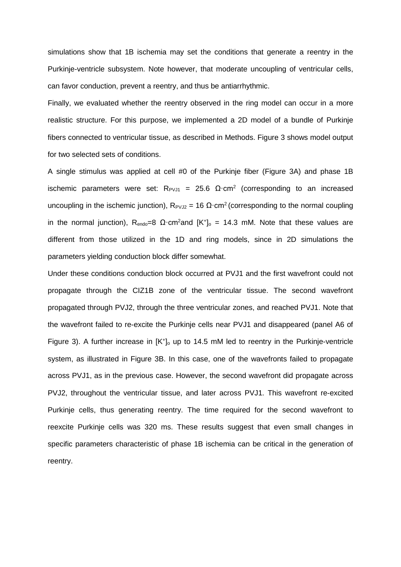simulations show that 1B ischemia may set the conditions that generate a reentry in the Purkinje-ventricle subsystem. Note however, that moderate uncoupling of ventricular cells, can favor conduction, prevent a reentry, and thus be antiarrhythmic.

Finally, we evaluated whether the reentry observed in the ring model can occur in a more realistic structure. For this purpose, we implemented a 2D model of a bundle of Purkinje fibers connected to ventricular tissue, as described in Methods. Figure 3 shows model output for two selected sets of conditions.

A single stimulus was applied at cell #0 of the Purkinje fiber (Figure 3A) and phase 1B ischemic parameters were set: R<sub>PVJ1</sub> = 25.6 Ω·cm<sup>2</sup> (corresponding to an increased uncoupling in the ischemic junction),  $R_{PVJ2} = 16 \Omega \cdot \text{cm}^2$  (corresponding to the normal coupling in the normal junction),  $R_{endo}=8 \Omega \cdot cm^2$  and  $[K^+]_0 = 14.3 \text{ mM}$ . Note that these values are different from those utilized in the 1D and ring models, since in 2D simulations the parameters yielding conduction block differ somewhat.

Under these conditions conduction block occurred at PVJ1 and the first wavefront could not propagate through the CIZ1B zone of the ventricular tissue. The second wavefront propagated through PVJ2, through the three ventricular zones, and reached PVJ1. Note that the wavefront failed to re-excite the Purkinje cells near PVJ1 and disappeared (panel A6 of Figure 3). A further increase in  $[K^+]_0$  up to 14.5 mM led to reentry in the Purkinje-ventricle system, as illustrated in Figure 3B. In this case, one of the wavefronts failed to propagate across PVJ1, as in the previous case. However, the second wavefront did propagate across PVJ2, throughout the ventricular tissue, and later across PVJ1. This wavefront re-excited Purkinje cells, thus generating reentry. The time required for the second wavefront to reexcite Purkinje cells was 320 ms. These results suggest that even small changes in specific parameters characteristic of phase 1B ischemia can be critical in the generation of reentry.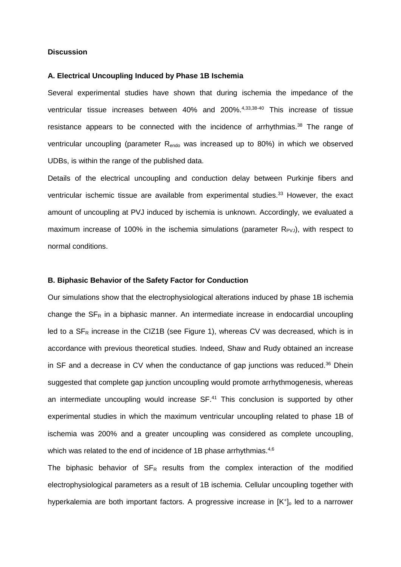## **Discussion**

#### **A. Electrical Uncoupling Induced by Phase 1B Ischemia**

Several experimental studies have shown that during ischemia the impedance of the ventricular tissue increases between 40% and 200%. 4,33,38-40 This increase of tissue resistance appears to be connected with the incidence of arrhythmias.<sup>38</sup> The range of ventricular uncoupling (parameter Rendo was increased up to 80%) in which we observed UDBs, is within the range of the published data.

Details of the electrical uncoupling and conduction delay between Purkinje fibers and ventricular ischemic tissue are available from experimental studies. <sup>33</sup> However, the exact amount of uncoupling at PVJ induced by ischemia is unknown. Accordingly, we evaluated a maximum increase of 100% in the ischemia simulations (parameter  $R_{PVJ}$ ), with respect to normal conditions.

## **B. Biphasic Behavior of the Safety Factor for Conduction**

Our simulations show that the electrophysiological alterations induced by phase 1B ischemia change the  $SF<sub>R</sub>$  in a biphasic manner. An intermediate increase in endocardial uncoupling led to a  $SF<sub>R</sub>$  increase in the CIZ1B (see Figure 1), whereas CV was decreased, which is in accordance with previous theoretical studies. Indeed, Shaw and Rudy obtained an increase in SF and a decrease in CV when the conductance of gap junctions was reduced. <sup>36</sup> Dhein suggested that complete gap junction uncoupling would promote arrhythmogenesis, whereas an intermediate uncoupling would increase SF. <sup>41</sup> This conclusion is supported by other experimental studies in which the maximum ventricular uncoupling related to phase 1B of ischemia was 200% and a greater uncoupling was considered as complete uncoupling, which was related to the end of incidence of 1B phase arrhythmias.<sup>4,6</sup>

The biphasic behavior of  $SF_R$  results from the complex interaction of the modified electrophysiological parameters as a result of 1B ischemia. Cellular uncoupling together with hyperkalemia are both important factors. A progressive increase in  $[K^+]_0$  led to a narrower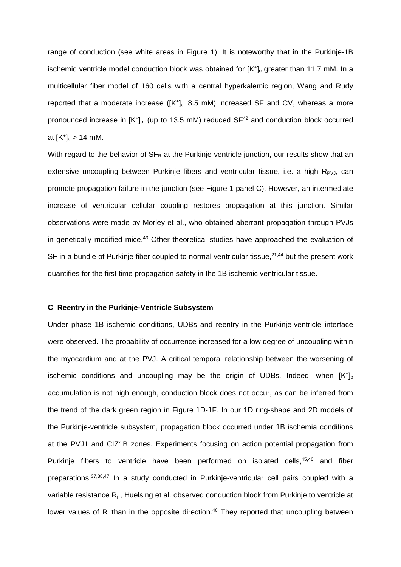range of conduction (see white areas in Figure 1). It is noteworthy that in the Purkinje-1B ischemic ventricle model conduction block was obtained for  $[K^+]_0$  greater than 11.7 mM. In a multicellular fiber model of 160 cells with a central hyperkalemic region, Wang and Rudy reported that a moderate increase ( $[K^+]_0 = 8.5$  mM) increased SF and CV, whereas a more pronounced increase in  $[K^+]$ <sub>o</sub> (up to 13.5 mM) reduced  $SF^{42}$  and conduction block occurred at  $[K^+]_0 > 14$  mM.

With regard to the behavior of  $SF_R$  at the Purkinje-ventricle junction, our results show that an extensive uncoupling between Purkinje fibers and ventricular tissue, i.e. a high  $R_{PVJ}$ , can promote propagation failure in the junction (see Figure 1 panel C). However, an intermediate increase of ventricular cellular coupling restores propagation at this junction. Similar observations were made by Morley et al., who obtained aberrant propagation through PVJs in genetically modified mice.<sup>43</sup> Other theoretical studies have approached the evaluation of SF in a bundle of Purkinje fiber coupled to normal ventricular tissue, $2^{1,44}$  but the present work quantifies for the first time propagation safety in the 1B ischemic ventricular tissue.

## **C Reentry in the Purkinje-Ventricle Subsystem**

Under phase 1B ischemic conditions, UDBs and reentry in the Purkinje-ventricle interface were observed. The probability of occurrence increased for a low degree of uncoupling within the myocardium and at the PVJ. A critical temporal relationship between the worsening of ischemic conditions and uncoupling may be the origin of UDBs. Indeed, when  $[K^+]$ <sub>o</sub> accumulation is not high enough, conduction block does not occur, as can be inferred from the trend of the dark green region in Figure 1D-1F. In our 1D ring-shape and 2D models of the Purkinje-ventricle subsystem, propagation block occurred under 1B ischemia conditions at the PVJ1 and CIZ1B zones. Experiments focusing on action potential propagation from Purkinje fibers to ventricle have been performed on isolated cells, 45,46 and fiber preparations.<sup>37,38,47</sup> In a study conducted in Purkinje-ventricular cell pairs coupled with a variable resistance Rj , Huelsing et al. observed conduction block from Purkinje to ventricle at lower values of  $R_j$  than in the opposite direction.<sup>46</sup> They reported that uncoupling between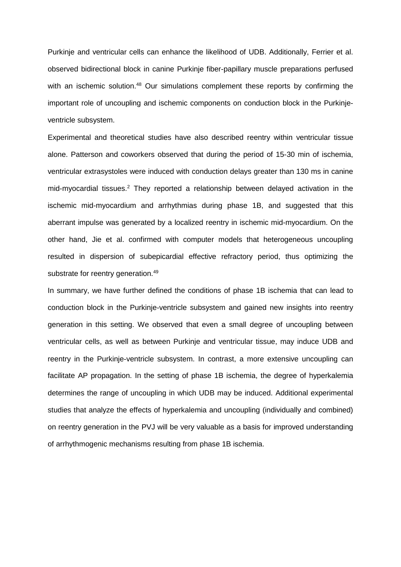Purkinje and ventricular cells can enhance the likelihood of UDB. Additionally, Ferrier et al. observed bidirectional block in canine Purkinje fiber-papillary muscle preparations perfused with an ischemic solution.<sup>48</sup> Our simulations complement these reports by confirming the important role of uncoupling and ischemic components on conduction block in the Purkinjeventricle subsystem.

Experimental and theoretical studies have also described reentry within ventricular tissue alone. Patterson and coworkers observed that during the period of 15-30 min of ischemia, ventricular extrasystoles were induced with conduction delays greater than 130 ms in canine mid-myocardial tissues. <sup>2</sup> They reported a relationship between delayed activation in the ischemic mid-myocardium and arrhythmias during phase 1B, and suggested that this aberrant impulse was generated by a localized reentry in ischemic mid-myocardium. On the other hand, Jie et al. confirmed with computer models that heterogeneous uncoupling resulted in dispersion of subepicardial effective refractory period, thus optimizing the substrate for reentry generation.<sup>49</sup>

In summary, we have further defined the conditions of phase 1B ischemia that can lead to conduction block in the Purkinje-ventricle subsystem and gained new insights into reentry generation in this setting. We observed that even a small degree of uncoupling between ventricular cells, as well as between Purkinje and ventricular tissue, may induce UDB and reentry in the Purkinje-ventricle subsystem. In contrast, a more extensive uncoupling can facilitate AP propagation. In the setting of phase 1B ischemia, the degree of hyperkalemia determines the range of uncoupling in which UDB may be induced. Additional experimental studies that analyze the effects of hyperkalemia and uncoupling (individually and combined) on reentry generation in the PVJ will be very valuable as a basis for improved understanding of arrhythmogenic mechanisms resulting from phase 1B ischemia.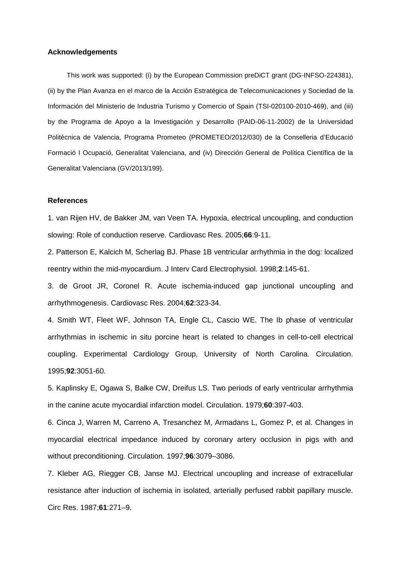## **Acknowledgements**

This work was supported: (i) by the European Commission preDiCT grant (DG-INFSO-224381), (ii) by the Plan Avanza en el marco de la Acción Estratégica de Telecomunicaciones y Sociedad de la Información del Ministerio de Industria Turismo y Comercio of Spain (TSI-020100-2010-469), and (iii) by the Programa de Apoyo a la Investigación y Desarrollo (PAID-06-11-2002) de la Universidad Politécnica de Valencia, Programa Prometeo (PROMETEO/2012/030) de la Conselleria d'Educació Formació I Ocupació, Generalitat Valenciana, and (iv) Dirección General de Política Científica de la Generalitat Valenciana (GV/2013/199).

## **References**

1. van Rijen HV, de Bakker JM, van Veen TA. Hypoxia, electrical uncoupling, and conduction slowing: Role of conduction reserve. Cardiovasc Res. 2005;**66**:9-11.

2. Patterson E, Kalcich M, Scherlag BJ. Phase 1B ventricular arrhythmia in the dog: localized reentry within the mid-myocardium. J Interv Card Electrophysiol. 1998;**2**:145-61.

3. de Groot JR, Coronel R. Acute ischemia-induced gap junctional uncoupling and arrhythmogenesis. Cardiovasc Res. 2004;**62**:323-34.

4. Smith WT, Fleet WF, Johnson TA, Engle CL, Cascio WE. The Ib phase of ventricular arrhythmias in ischemic in situ porcine heart is related to changes in cell-to-cell electrical coupling. Experimental Cardiology Group, University of North Carolina. Circulation. 1995;**92**:3051-60.

5. Kaplinsky E, Ogawa S, Balke CW, Dreifus LS. Two periods of early ventricular arrhythmia in the canine acute myocardial infarction model. Circulation. 1979;**60**:397-403.

6. Cinca J, Warren M, Carreno A, Tresanchez M, Armadans L, Gomez P, et al. Changes in myocardial electrical impedance induced by coronary artery occlusion in pigs with and without preconditioning. Circulation. 1997;**96**:3079–3086.

7. Kleber AG, Riegger CB, Janse MJ. Electrical uncoupling and increase of extracellular resistance after induction of ischemia in isolated, arterially perfused rabbit papillary muscle. Circ Res. 1987;**61**:271–9.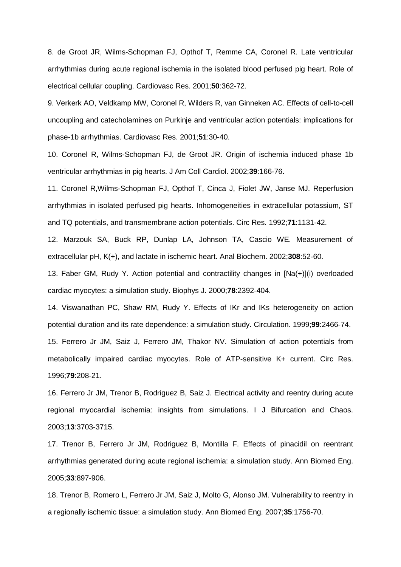8. de Groot JR, Wilms-Schopman FJ, Opthof T, Remme CA, Coronel R. Late ventricular arrhythmias during acute regional ischemia in the isolated blood perfused pig heart. Role of electrical cellular coupling. Cardiovasc Res. 2001;**50**:362-72.

9. Verkerk AO, Veldkamp MW, Coronel R, Wilders R, van Ginneken AC. Effects of cell-to-cell uncoupling and catecholamines on Purkinje and ventricular action potentials: implications for phase-1b arrhythmias. Cardiovasc Res. 2001;**51**:30-40.

10. Coronel R, Wilms-Schopman FJ, de Groot JR. Origin of ischemia induced phase 1b ventricular arrhythmias in pig hearts. J Am Coll Cardiol. 2002;**39**:166-76.

11. Coronel R,Wilms-Schopman FJ, Opthof T, Cinca J, Fiolet JW, Janse MJ. Reperfusion arrhythmias in isolated perfused pig hearts. Inhomogeneities in extracellular potassium, ST and TQ potentials, and transmembrane action potentials. Circ Res. 1992;**71**:1131-42.

12. Marzouk SA, Buck RP, Dunlap LA, Johnson TA, Cascio WE. Measurement of extracellular pH, K(+), and lactate in ischemic heart. Anal Biochem. 2002;**308**:52-60.

13. Faber GM, Rudy Y. Action potential and contractility changes in [Na(+)](i) overloaded cardiac myocytes: a simulation study. Biophys J. 2000;**78**:2392-404.

14. Viswanathan PC, Shaw RM, Rudy Y. Effects of IKr and IKs heterogeneity on action potential duration and its rate dependence: a simulation study. Circulation. 1999;**99**:2466-74. 15. Ferrero Jr JM, Saiz J, Ferrero JM, Thakor NV. Simulation of action potentials from metabolically impaired cardiac myocytes. Role of ATP-sensitive K+ current. Circ Res. 1996;**79**:208-21.

16. Ferrero Jr JM, Trenor B, Rodriguez B, Saiz J. Electrical activity and reentry during acute regional myocardial ischemia: insights from simulations. I J Bifurcation and Chaos. 2003;**13**:3703-3715.

17. Trenor B, Ferrero Jr JM, Rodriguez B, Montilla F. Effects of pinacidil on reentrant arrhythmias generated during acute regional ischemia: a simulation study. Ann Biomed Eng. 2005;**33**:897-906.

18. Trenor B, Romero L, Ferrero Jr JM, Saiz J, Molto G, Alonso JM. Vulnerability to reentry in a regionally ischemic tissue: a simulation study. Ann Biomed Eng. 2007;**35**:1756-70.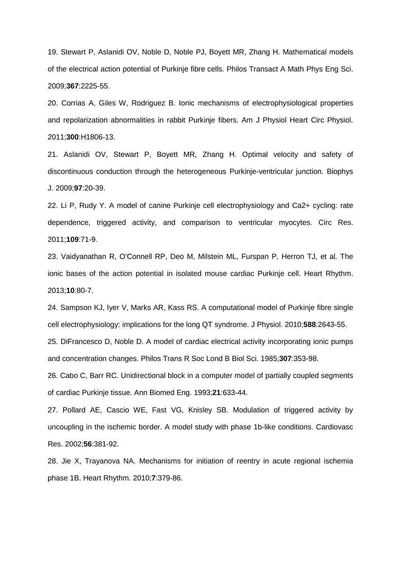19. Stewart P, Aslanidi OV, Noble D, Noble PJ, Boyett MR, Zhang H. Mathematical models of the electrical action potential of Purkinje fibre cells. Philos Transact A Math Phys Eng Sci. 2009;**367**:2225-55.

20. Corrias A, Giles W, Rodriguez B. Ionic mechanisms of electrophysiological properties and repolarization abnormalities in rabbit Purkinje fibers. Am J Physiol Heart Circ Physiol. 2011;**300**:H1806-13.

21. Aslanidi OV, Stewart P, Boyett MR, Zhang H. Optimal velocity and safety of discontinuous conduction through the heterogeneous Purkinje-ventricular junction. Biophys J. 2009;**97**:20-39.

22. Li P, Rudy Y. A model of canine Purkinje cell electrophysiology and Ca2+ cycling: rate dependence, triggered activity, and comparison to ventricular myocytes. Circ Res. 2011;**109**:71-9.

23. Vaidyanathan R, O'Connell RP, Deo M, Milstein ML, Furspan P, Herron TJ, et al. The ionic bases of the action potential in isolated mouse cardiac Purkinje cell. Heart Rhythm. 2013;**10**:80-7.

24. Sampson KJ, Iyer V, Marks AR, Kass RS. A computational model of Purkinje fibre single cell electrophysiology: implications for the long QT syndrome. J Physiol. 2010;**588**:2643-55.

25. DiFrancesco D, Noble D. A model of cardiac electrical activity incorporating ionic pumps and concentration changes. Philos Trans R Soc Lond B Biol Sci. 1985;**307**:353-98.

26. Cabo C, Barr RC. Unidirectional block in a computer model of partially coupled segments of cardiac Purkinje tissue. Ann Biomed Eng. 1993;**21**:633-44.

27. Pollard AE, Cascio WE, Fast VG, Knisley SB. Modulation of triggered activity by uncoupling in the ischemic border. A model study with phase 1b-like conditions. Cardiovasc Res. 2002;**56**:381-92.

28. Jie X, Trayanova NA. Mechanisms for initiation of reentry in acute regional ischemia phase 1B. Heart Rhythm. 2010;**7**:379-86.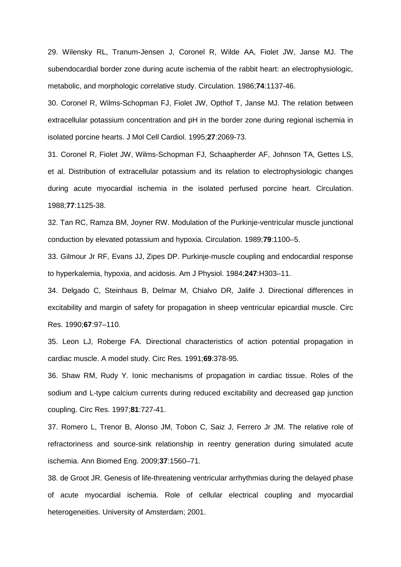29. Wilensky RL, Tranum-Jensen J, Coronel R, Wilde AA, Fiolet JW, Janse MJ. The subendocardial border zone during acute ischemia of the rabbit heart: an electrophysiologic, metabolic, and morphologic correlative study. Circulation. 1986;**74**:1137-46.

30. Coronel R, Wilms-Schopman FJ, Fiolet JW, Opthof T, Janse MJ. The relation between extracellular potassium concentration and pH in the border zone during regional ischemia in isolated porcine hearts. J Mol Cell Cardiol. 1995;**27**:2069-73.

31. Coronel R, Fiolet JW, Wilms-Schopman FJ, Schaapherder AF, Johnson TA, Gettes LS, et al. Distribution of extracellular potassium and its relation to electrophysiologic changes during acute myocardial ischemia in the isolated perfused porcine heart. Circulation. 1988;**77**:1125-38.

32. Tan RC, Ramza BM, Joyner RW. Modulation of the Purkinje-ventricular muscle junctional conduction by elevated potassium and hypoxia. Circulation. 1989;**79**:1100–5.

33. Gilmour Jr RF, Evans JJ, Zipes DP. Purkinje-muscle coupling and endocardial response to hyperkalemia, hypoxia, and acidosis. Am J Physiol. 1984;**247**:H303–11.

34. Delgado C, Steinhaus B, Delmar M, Chialvo DR, Jalife J. Directional differences in excitability and margin of safety for propagation in sheep ventricular epicardial muscle. Circ Res. 1990;**67**:97–110.

35. Leon LJ, Roberge FA. Directional characteristics of action potential propagation in cardiac muscle. A model study. Circ Res. 1991;**69**:378-95.

36. Shaw RM, Rudy Y. Ionic mechanisms of propagation in cardiac tissue. Roles of the sodium and L-type calcium currents during reduced excitability and decreased gap junction coupling. Circ Res. 1997;**81**:727-41.

37. Romero L, Trenor B, Alonso JM, Tobon C, Saiz J, Ferrero Jr JM. The relative role of refractoriness and source-sink relationship in reentry generation during simulated acute ischemia. Ann Biomed Eng. 2009;**37**:1560–71.

38. de Groot JR. Genesis of life-threatening ventricular arrhythmias during the delayed phase of acute myocardial ischemia. Role of cellular electrical coupling and myocardial heterogeneities. University of Amsterdam; 2001.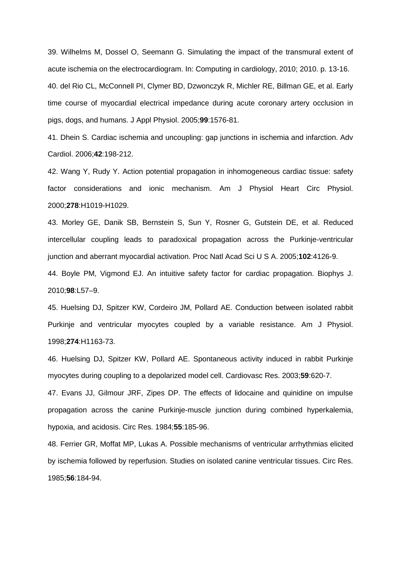39. Wilhelms M, Dossel O, Seemann G. Simulating the impact of the transmural extent of acute ischemia on the electrocardiogram. In: Computing in cardiology, 2010; 2010. p. 13-16. 40. del Rio CL, McConnell PI, Clymer BD, Dzwonczyk R, Michler RE, Billman GE, et al. Early time course of myocardial electrical impedance during acute coronary artery occlusion in pigs, dogs, and humans. J Appl Physiol. 2005;**99**:1576-81.

41. Dhein S. Cardiac ischemia and uncoupling: gap junctions in ischemia and infarction. Adv Cardiol. 2006;**42**:198-212.

42. Wang Y, Rudy Y. Action potential propagation in inhomogeneous cardiac tissue: safety factor considerations and ionic mechanism. Am J Physiol Heart Circ Physiol. 2000;**278**:H1019-H1029.

43. Morley GE, Danik SB, Bernstein S, Sun Y, Rosner G, Gutstein DE, et al. Reduced intercellular coupling leads to paradoxical propagation across the Purkinje-ventricular junction and aberrant myocardial activation. Proc Natl Acad Sci U S A. 2005;**102**:4126-9.

44. Boyle PM, Vigmond EJ. An intuitive safety factor for cardiac propagation. Biophys J. 2010;**98**:L57–9.

45. Huelsing DJ, Spitzer KW, Cordeiro JM, Pollard AE. Conduction between isolated rabbit Purkinje and ventricular myocytes coupled by a variable resistance. Am J Physiol. 1998;**274**:H1163-73.

46. Huelsing DJ, Spitzer KW, Pollard AE. Spontaneous activity induced in rabbit Purkinje myocytes during coupling to a depolarized model cell. Cardiovasc Res. 2003;**59**:620-7.

47. Evans JJ, Gilmour JRF, Zipes DP. The effects of lidocaine and quinidine on impulse propagation across the canine Purkinje-muscle junction during combined hyperkalemia, hypoxia, and acidosis. Circ Res. 1984;**55**:185-96.

48. Ferrier GR, Moffat MP, Lukas A. Possible mechanisms of ventricular arrhythmias elicited by ischemia followed by reperfusion. Studies on isolated canine ventricular tissues. Circ Res. 1985;**56**:184-94.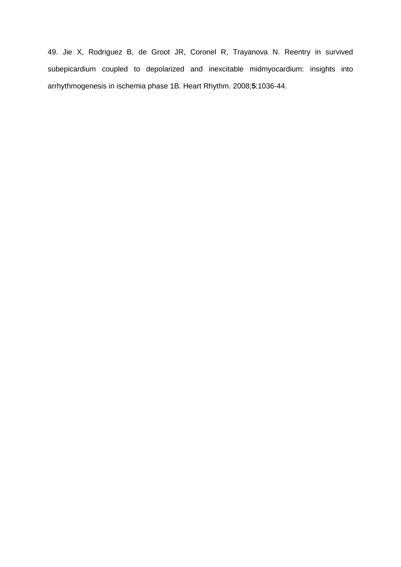49. Jie X, Rodriguez B, de Groot JR, Coronel R, Trayanova N. Reentry in survived subepicardium coupled to depolarized and inexcitable midmyocardium: insights into arrhythmogenesis in ischemia phase 1B. Heart Rhythm. 2008;**5**:1036-44.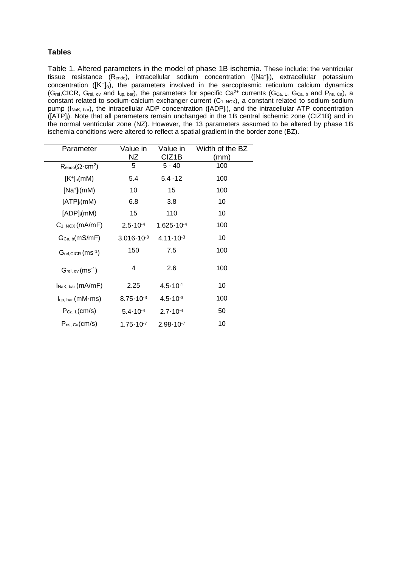# **Tables**

Table 1. Altered parameters in the model of phase 1B ischemia. These include: the ventricular tissue resistance (R<sub>endo</sub>), intracellular sodium concentration ([Na<sup>+</sup>]<sub>i</sub>), extracellular potassium concentration ( $[K^+]_0$ ), the parameters involved in the sarcoplasmic reticulum calcium dynamics (Grel,CICR, Grel, ov and Iup, bar), the parameters for specific Ca<sup>2+</sup> currents (G<sub>Ca, L</sub>, G<sub>Ca, b</sub> and P<sub>ns, Ca</sub>), a constant related to sodium-calcium exchanger current  $(C_1, NC_X)$ , a constant related to sodium-sodium pump (I<sub>NaK, bar</sub>), the intracellular ADP concentration ([ADP]i), and the intracellular ATP concentration ([ATP]i). Note that all parameters remain unchanged in the 1B central ischemic zone (CIZ1B) and in the normal ventricular zone (NZ). However, the 13 parameters assumed to be altered by phase 1B ischemia conditions were altered to reflect a spatial gradient in the border zone (BZ).

| Parameter                                            | Value in              | Value in              | Width of the BZ |
|------------------------------------------------------|-----------------------|-----------------------|-----------------|
|                                                      | ΝZ                    | CIZ <sub>1</sub> B    | (mm)            |
| $\mathsf{R}_{\text{endo}}(\Omega \cdot \text{cm}^2)$ | 5                     | $5 - 40$              | 100             |
| $[K^+]_0$ (mM)                                       | 5.4                   | $5.4 - 12$            | 100             |
| $[Na^+]$ <sub>i</sub> $(mM)$                         | 10                    | 15                    | 100             |
| $[ATP]$ <sub>i</sub> (mM)                            | 6.8                   | 3.8                   | 10              |
| $[ADP]_i$ (mM)                                       | 15                    | 110                   | 10              |
| $C_1$ , $ncx$ (mA/mF)                                | $2.5 \cdot 10^{-4}$   | $1.625 \cdot 10^{-4}$ | 100             |
| $G_{Ca, b}(mS/mF)$                                   | $3.016 \cdot 10^{-3}$ | $4.11 \cdot 10^{-3}$  | 10              |
| Grel, CICR (ms <sup>-1</sup> )                       | 150                   | 7.5                   | 100             |
| $G_{rel,ov}(ms^{-1})$                                | 4                     | 2.6                   | 100             |
| INaK, bar (MA/MF)                                    | 2.25                  | $4.5 \cdot 10^{-1}$   | 10              |
| $I_{up, bar}(mM \cdot ms)$                           | $8.75 \cdot 10^{-3}$  | $4.5 \cdot 10^{-3}$   | 100             |
| $P_{Ca, L}(cm/s)$                                    | $5.4 - 10^{-4}$       | $2.7 \cdot 10^{-4}$   | 50              |
| $P_{ns, Ca}(cm/s)$                                   | $1.75 \cdot 10^{-7}$  | $2.98 \cdot 10^{-7}$  | 10              |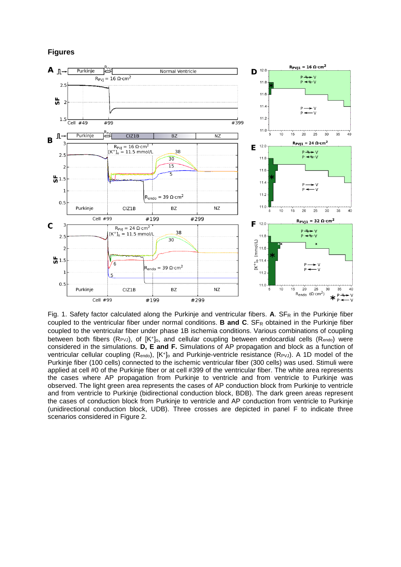**Figures**



Fig. 1. Safety factor calculated along the Purkinje and ventricular fibers. A. SF<sub>R</sub> in the Purkinje fiber coupled to the ventricular fiber under normal conditions. **B and C**. SF<sub>R</sub> obtained in the Purkinje fiber coupled to the ventricular fiber under phase 1B ischemia conditions. Various combinations of coupling between both fibers ( $\text{R}_{PVJ}$ ), of  $\text{K}^+$ ]<sub>o</sub>, and cellular coupling between endocardial cells ( $\text{R}_{\text{endo}}$ ) were considered in the simulations. **D, E and F.** Simulations of AP propagation and block as a function of ventricular cellular coupling (R<sub>endo</sub>), [K<sup>+</sup>]<sub>o</sub> and Purkinje-ventricle resistance (R<sub>PVJ</sub>). A 1D model of the Purkinje fiber (100 cells) connected to the ischemic ventricular fiber (300 cells) was used. Stimuli were applied at cell #0 of the Purkinje fiber or at cell #399 of the ventricular fiber. The white area represents the cases where AP propagation from Purkinje to ventricle and from ventricle to Purkinje was observed. The light green area represents the cases of AP conduction block from Purkinje to ventricle and from ventricle to Purkinje (bidirectional conduction block, BDB). The dark green areas represent the cases of conduction block from Purkinje to ventricle and AP conduction from ventricle to Purkinje (unidirectional conduction block, UDB). Three crosses are depicted in panel F to indicate three scenarios considered in Figure 2.